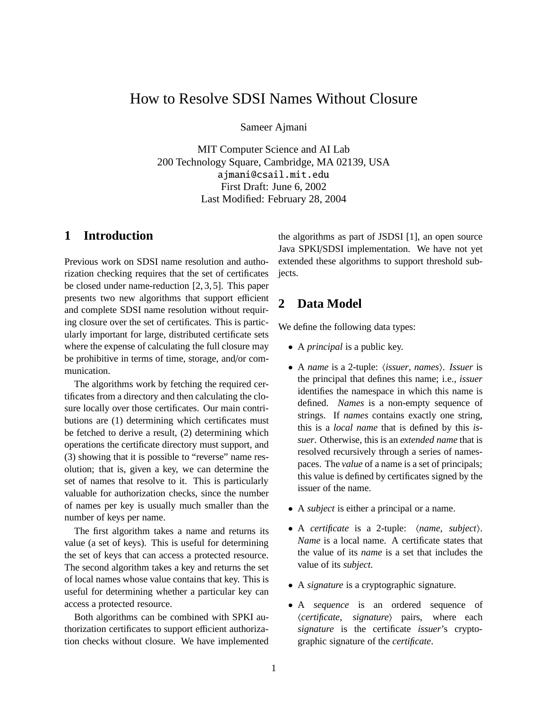# How to Resolve SDSI Names Without Closure

Sameer Ajmani

MIT Computer Science and AI Lab 200 Technology Square, Cambridge, MA 02139, USA ajmani@csail.mit.edu First Draft: June 6, 2002 Last Modified: February 28, 2004

## **1 Introduction**

Previous work on SDSI name resolution and authorization checking requires that the set of certificates be closed under name-reduction [2, 3, 5]. This paper presents two new algorithms that support efficient and complete SDSI name resolution without requiring closure over the set of certificates. This is particularly important for large, distributed certificate sets where the expense of calculating the full closure may be prohibitive in terms of time, storage, and/or communication.

The algorithms work by fetching the required certificates from a directory and then calculating the closure locally over those certificates. Our main contributions are (1) determining which certificates must be fetched to derive a result, (2) determining which operations the certificate directory must support, and (3) showing that it is possible to "reverse" name resolution; that is, given a key, we can determine the set of names that resolve to it. This is particularly valuable for authorization checks, since the number of names per key is usually much smaller than the number of keys per name.

The first algorithm takes a name and returns its value (a set of keys). This is useful for determining the set of keys that can access a protected resource. The second algorithm takes a key and returns the set of local names whose value contains that key. This is useful for determining whether a particular key can access a protected resource.

Both algorithms can be combined with SPKI authorization certificates to support efficient authorization checks without closure. We have implemented

the algorithms as part of JSDSI [1], an open source Java SPKI/SDSI implementation. We have not yet extended these algorithms to support threshold subjects.

# **2 Data Model**

We define the following data types:

- A *principal* is a public key.
- A *name* is a 2-tuple: *(issuer, names). Issuer* is the principal that defines this name; i.e., *issuer* identifies the namespace in which this name is defined. *Names* is a non-empty sequence of strings. If *names* contains exactly one string, this is a *local name* that is defined by this *issuer*. Otherwise, this is an *extended name* that is resolved recursively through a series of namespaces. The *value* of a name is a set of principals; this value is defined by certificates signed by the issuer of the name.
- A *subject* is either a principal or a name.
- A *certificate* is a 2-tuple:  $\langle name, subject \rangle$ . *Name* is a local name. A certificate states that the value of its *name* is a set that includes the value of its *subject*.
- A *signature* is a cryptographic signature.
- A *sequence* is an ordered sequence of  $\langle$ *certificate*, *signature* $\rangle$  pairs, where each *signature* is the certificate *issuer*'s cryptographic signature of the *certificate*.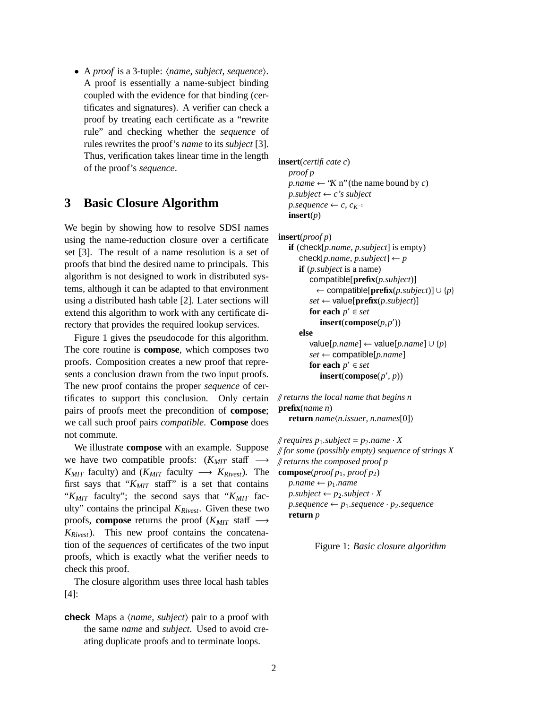• A *proof* is a 3-tuple:  $\langle name, subject, sequence \rangle$ . A proof is essentially a name-subject binding coupled with the evidence for that binding (certificates and signatures). A verifier can check a proof by treating each certificate as a "rewrite rule" and checking whether the *sequence* of rules rewrites the proof's *name* to its *subject* [3]. Thus, verification takes linear time in the length of the proof's *sequence*.

## **3 Basic Closure Algorithm**

We begin by showing how to resolve SDSI names using the name-reduction closure over a certificate set [3]. The result of a name resolution is a set of proofs that bind the desired name to principals. This algorithm is not designed to work in distributed systems, although it can be adapted to that environment using a distributed hash table [2]. Later sections will extend this algorithm to work with any certificate directory that provides the required lookup services.

Figure 1 gives the pseudocode for this algorithm. The core routine is **compose**, which composes two proofs. Composition creates a new proof that represents a conclusion drawn from the two input proofs. The new proof contains the proper *sequence* of certificates to support this conclusion. Only certain pairs of proofs meet the precondition of **compose**; we call such proof pairs *compatible*. **Compose** does not commute.

We illustrate **compose** with an example. Suppose we have two compatible proofs:  $(K_{MIT}$  staff − *K<sub>MIT</sub>* faculty) and ( $K_{MIT}$  faculty  $\longrightarrow K_{Rivest}$ ). The first says that " $K_{MIT}$  staff" is a set that contains "*KMIT* faculty"; the second says that "*KMIT* faculty" contains the principal *KRivest*. Given these two proofs, **compose** returns the proof ( $K_{MIT}$  staff  $\rightarrow$ *KRivest*). This new proof contains the concatenation of the *sequences* of certificates of the two input proofs, which is exactly what the verifier needs to check this proof.

The closure algorithm uses three local hash tables [4]:

**check** Maps a  $\langle name, subject \rangle$  pair to a proof with the same *name* and *subject*. Used to avoid creating duplicate proofs and to terminate loops.

**insert**(*certificatec*) *proof p p.name*  $\leftarrow$  "*K* n" (the name bound by *c*)  $p.subject \leftarrow c's subject$ *p.sequence* ← *c*,  $c_{K^{-1}}$ **insert**(*p*)

```
insert(proof p)
```

```
if (check[p.name, p.subject] is empty)
   check[p.name, p.subject] \leftarrow pif (p.subject is a name)
      compatible[prefix(p.subject)]
        ← compatible[prefix(p.subject)] ∪ {p}
      set \leftarrow value[\mathbf{prefix}(p.subject)]
      for each p' \in set\text{insert}(\text{compose}(p, p'))else
      value[p.name] ← value[p.name] ∪ {p}
      set ← compatible[p.name]
      for each p' \in set
```

```
\text{insert}(\text{compose}(p', p))
```
// *returns the local name that begins n* **prefix**(*name n*) **return**  $name\langle n.issuer, n.names[0]\rangle$ 

 $\#$  *requires*  $p_1$ *.subject* =  $p_2$ *.name*  $\cdot$  *X* // *for some (possibly empty) sequence of strings X* // *returns the composed proof p* **compose**( $\text{proof } p_1$ ,  $\text{proof } p_2$ )  $p.name \leftarrow p_1.name$  $p.subject \leftarrow p_2.subject \cdot X$  $p. sequence \leftarrow p_1. sequence \cdot p_2. sequence$ **return** *p*

Figure 1: *Basic closure algorithm*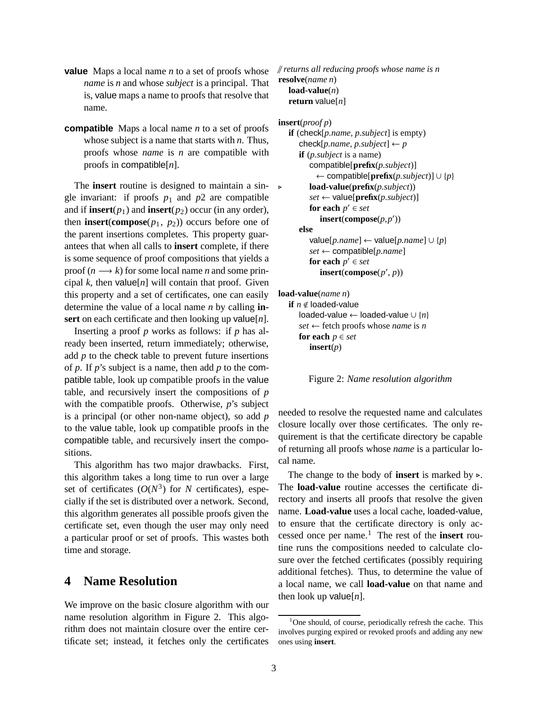- **value** Maps a local name *n* to a set of proofs whose *name* is *n* and whose *subject* is a principal. That is, value maps a name to proofs that resolve that name.
- **compatible** Maps a local name *n* to a set of proofs whose subject is a name that starts with *n*. Thus, proofs whose *name* is *n* are compatible with proofs in compatible[*n*].

The **insert** routine is designed to maintain a single invariant: if proofs  $p_1$  and  $p_2$  are compatible and if **insert** $(p_1)$  and **insert** $(p_2)$  occur (in any order), then **insert**(**compose** $(p_1, p_2)$ ) occurs before one of the parent insertions completes. This property guarantees that when all calls to **insert** complete, if there is some sequence of proof compositions that yields a proof  $(n \rightarrow k)$  for some local name *n* and some principal  $k$ , then value[ $n$ ] will contain that proof. Given this property and a set of certificates, one can easily determine the value of a local name *n* by calling **insert** on each certificate and then looking up value[*n*].

Inserting a proof *p* works as follows: if *p* has already been inserted, return immediately; otherwise, add *p* to the check table to prevent future insertions of *p*. If *p*'s subject is a name, then add *p* to the compatible table, look up compatible proofs in the value table, and recursively insert the compositions of *p* with the compatible proofs. Otherwise, *p*'s subject is a principal (or other non-name object), so add *p* to the value table, look up compatible proofs in the compatible table, and recursively insert the compositions.

This algorithm has two major drawbacks. First, this algorithm takes a long time to run over a large set of certificates  $(O(N^3))$  for *N* certificates), especially if the set is distributed over a network. Second, this algorithm generates all possible proofs given the certificate set, even though the user may only need a particular proof or set of proofs. This wastes both time and storage.

### **4 Name Resolution**

We improve on the basic closure algorithm with our name resolution algorithm in Figure 2. This algorithm does not maintain closure over the entire certificate set; instead, it fetches only the certificates

```
// returns all reducing proofs whose name is n
resolve(name n)
   load-value(n)
   return value[n]
```

```
insert(proof p)
   if (check[p.name, p.subject] is empty)
      check[p.name, p.subject] \leftarrow pif (p.subject is a name)
          compatible[prefix(p.subject)]
            ← compatible[prefix(p.subject)] ∪ {p}
          . load-value(prefix(p.subject))
         set \leftarrow \text{value}[\text{prefix}(p.subject)]for each p' \in set\text{insert}(\text{compose}(p, p'))else
          value[p.name] ← value[p.name] ∪ {p}
          set ← compatible[p.name]
          for each p' \in set\text{insert}(\text{compose}(p', p))
```
**load-value**(*name n*)

```
if n \notin loaded-value
  loaded-value ← loaded-value ∪ {n}
  set ← fetch proofs whose name is n
  for each p \in setinsert(p)
```
Figure 2: *Name resolution algorithm*

needed to resolve the requested name and calculates closure locally over those certificates. The only requirement is that the certificate directory be capable of returning all proofs whose *name* is a particular local name.

The change to the body of **insert** is marked by  $\triangleright$ . The **load-value** routine accesses the certificate directory and inserts all proofs that resolve the given name. **Load-value** uses a local cache, loaded-value, to ensure that the certificate directory is only accessed once per name.<sup>1</sup> The rest of the **insert** routine runs the compositions needed to calculate closure over the fetched certificates (possibly requiring additional fetches). Thus, to determine the value of a local name, we call **load-value** on that name and then look up value[*n*].

<sup>&</sup>lt;sup>1</sup>One should, of course, periodically refresh the cache. This involves purging expired or revoked proofs and adding any new ones using **insert**.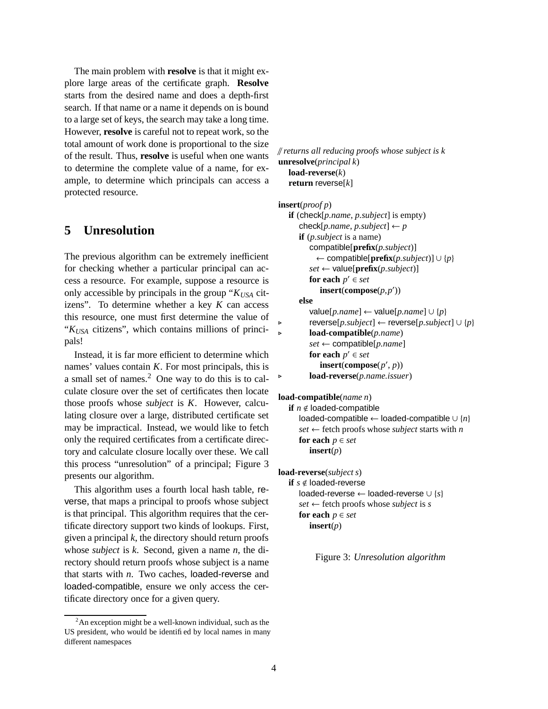The main problem with **resolve** is that it might explore large areas of the certificate graph. **Resolve** starts from the desired name and does a depth-first search. If that name or a name it depends on is bound to a large set of keys, the search may take a long time. However, **resolve** is careful not to repeat work, so the total amount of work done is proportional to the size of the result. Thus, **resolve** is useful when one wants to determine the complete value of a name, for example, to determine which principals can access a protected resource.

### **5 Unresolution**

The previous algorithm can be extremely inefficient for checking whether a particular principal can access a resource. For example, suppose a resource is only accessible by principals in the group "*KUSA* citizens". To determine whether a key *K* can access this resource, one must first determine the value of "*KUSA* citizens", which contains millions of principals!

Instead, it is far more efficient to determine which names' values contain *K*. For most principals, this is a small set of names.<sup>2</sup> One way to do this is to calculate closure over the set of certificates then locate those proofs whose *subject* is *K*. However, calculating closure over a large, distributed certificate set may be impractical. Instead, we would like to fetch only the required certificates from a certificate directory and calculate closure locally over these. We call this process "unresolution" of a principal; Figure 3 presents our algorithm.

This algorithm uses a fourth local hash table, reverse, that maps a principal to proofs whose subject is that principal. This algorithm requires that the certificate directory support two kinds of lookups. First, given a principal *k*, the directory should return proofs whose *subject* is *k*. Second, given a name *n*, the directory should return proofs whose subject is a name that starts with *n*. Two caches, loaded-reverse and loaded-compatible, ensure we only access the certificate directory once for a given query.

```
// returns all reducing proofs whose subject is k
unresolve(principal k)
   load-reverse(k)
   return reverse[k]
```

```
insert(proof p)
   if (check[p.name, p.subject] is empty)
      check[p.name, p.subject] \leftarrow pif (p.subject is a name)
         compatible[prefix(p.subject)]
           ← compatible[prefix(p.subject)] ∪ {p}
         set \leftarrow value[\mathbf{prefix}(p.subject)]
          for each p' \in set\text{insert}(\text{compose}(p, p'))else
         value[p.name] ← value[p.name] ∪ {p}
         . reverse[p.subject] ← reverse[p.subject] ∪ {p}
. load-compatible(p.name)
         set ← compatible[p.name]
          for each p' \in set\text{insert}(\text{compose}(p', p)). load-reverse(p.name.issuer)
```
**load-compatible**(*name n*)

```
if n \notin loaded-compatible
   loaded-compatible ← loaded-compatible ∪ {n}
   set \leftarrow fetch proofs whose subject starts with n
   for each p \in setinsert(p)
```

```
load-reverse(subject s)
   if s \notin loaded-reverse
     loaded-reverse ← loaded-reverse ∪ {s}
      set ← fetch proofs whose subject is s
      for each p \in setinsert(p)
```
Figure 3: *Unresolution algorithm*

 $2$ An exception might be a well-known individual, such as the US president, who would be identified by local names in many different namespaces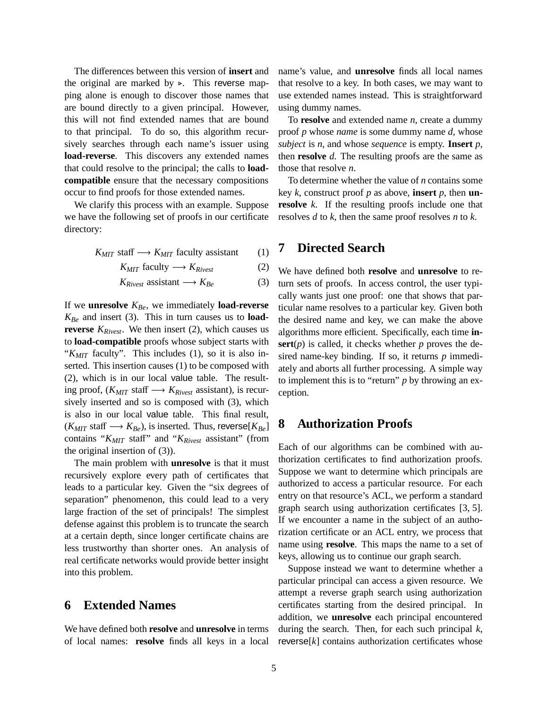The differences between this version of **insert** and the original are marked by  $\triangleright$ . This reverse mapping alone is enough to discover those names that are bound directly to a given principal. However, this will not find extended names that are bound to that principal. To do so, this algorithm recursively searches through each name's issuer using **load-reverse**. This discovers any extended names that could resolve to the principal; the calls to **loadcompatible** ensure that the necessary compositions occur to find proofs for those extended names.

We clarify this process with an example. Suppose we have the following set of proofs in our certificate directory:

$$
K_{MIT} \text{ staff} \longrightarrow K_{MIT} \text{ faculty assistant} \qquad (1)
$$

$$
K_{MIT} \text{ faculty} \longrightarrow K_{Rivest} \tag{2}
$$

$$
K_{Rivest} \text{ assistant} \longrightarrow K_{Be} \tag{3}
$$

If we **unresolve** *KBe*, we immediately **load-reverse** *KBe* and insert (3). This in turn causes us to **loadreverse** *KRivest*. We then insert (2), which causes us to **load-compatible** proofs whose subject starts with "*KMIT* faculty". This includes (1), so it is also inserted. This insertion causes (1) to be composed with (2), which is in our local value table. The resulting proof, (*KMIT* staff −→ *KRivest* assistant), is recursively inserted and so is composed with (3), which is also in our local value table. This final result,  $(K_{MIT}$  staff  $\longrightarrow K_{Be}$ ), is inserted. Thus, reverse $[K_{Be}]$ contains "*KMIT* staff" and "*KRivest* assistant" (from the original insertion of (3)).

The main problem with **unresolve** is that it must recursively explore every path of certificates that leads to a particular key. Given the "six degrees of separation" phenomenon, this could lead to a very large fraction of the set of principals! The simplest defense against this problem is to truncate the search at a certain depth, since longer certificate chains are less trustworthy than shorter ones. An analysis of real certificate networks would provide better insight into this problem.

#### **6 Extended Names**

We have defined both **resolve** and **unresolve** in terms of local names: **resolve** finds all keys in a local name's value, and **unresolve** finds all local names that resolve to a key. In both cases, we may want to use extended names instead. This is straightforward using dummy names.

To **resolve** and extended name *n*, create a dummy proof *p* whose *name* is some dummy name *d*, whose *subject* is *n*, and whose *sequence* is empty. **Insert** *p*, then **resolve** *d*. The resulting proofs are the same as those that resolve *n*.

To determine whether the value of *n* contains some key *k*, construct proof *p* as above, **insert** *p*, then **unresolve** *k*. If the resulting proofs include one that resolves *d* to *k*, then the same proof resolves *n* to *k*.

#### **7 Directed Search**

We have defined both **resolve** and **unresolve** to return sets of proofs. In access control, the user typically wants just one proof: one that shows that particular name resolves to a particular key. Given both the desired name and key, we can make the above algorithms more efficient. Specifically, each time **in-** $\textbf{sort}(p)$  is called, it checks whether *p* proves the desired name-key binding. If so, it returns *p* immediately and aborts all further processing. A simple way to implement this is to "return" *p* by throwing an exception.

#### **8 Authorization Proofs**

Each of our algorithms can be combined with authorization certificates to find authorization proofs. Suppose we want to determine which principals are authorized to access a particular resource. For each entry on that resource's ACL, we perform a standard graph search using authorization certificates [3, 5]. If we encounter a name in the subject of an authorization certificate or an ACL entry, we process that name using **resolve**. This maps the name to a set of keys, allowing us to continue our graph search.

Suppose instead we want to determine whether a particular principal can access a given resource. We attempt a reverse graph search using authorization certificates starting from the desired principal. In addition, we **unresolve** each principal encountered during the search. Then, for each such principal *k*,  $reverse[k]$  contains authorization certificates whose